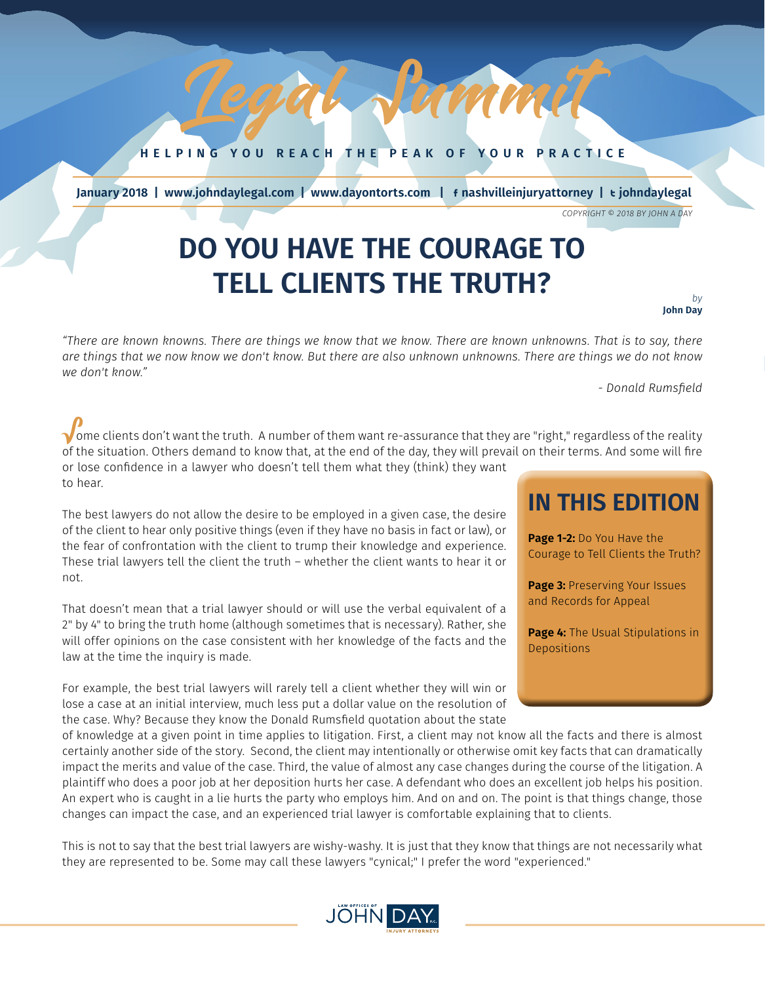**HELPING YOU REACH THE PEAK OF YOUR PRACTICE**

*January 2018 1*

Legarani

 **January 2018 | www.johndaylegal.com | www.dayontorts.com |** F **nashvilleinjuryattorney |** T **johndaylegal**

*COPYRIGHT © 2018 BY JOHN A DAY*

## **DO YOU HAVE THE COURAGE TO TELL CLIENTS THE TRUTH?**

#### *by* **John Day**

*"There are known knowns. There are things we know that we know. There are known unknowns. That is to say, there are things that we now know we don't know. But there are also unknown unknowns. There are things we do not know we don't know."*

*- Donald Rumsfield*

 $\sqrt$ ome clients don't want the truth. A number of them want re-assurance that they are "right," regardless of the reality of the situation. Others demand to know that, at the end of the day, they will prevail on their terms. And some will fire or lose confidence in a lawyer who doesn't tell them what they (think) they want to hear.

The best lawyers do not allow the desire to be employed in a given case, the desire of the client to hear only positive things (even if they have no basis in fact or law), or the fear of confrontation with the client to trump their knowledge and experience. These trial lawyers tell the client the truth – whether the client wants to hear it or not.

That doesn't mean that a trial lawyer should or will use the verbal equivalent of a 2" by 4" to bring the truth home (although sometimes that is necessary). Rather, she will offer opinions on the case consistent with her knowledge of the facts and the law at the time the inquiry is made.

For example, the best trial lawyers will rarely tell a client whether they will win or lose a case at an initial interview, much less put a dollar value on the resolution of the case. Why? Because they know the Donald Rumsfield quotation about the state

### of knowledge at a given point in time applies to litigation. First, a client may not know all the facts and there is almost certainly another side of the story. Second, the client may intentionally or otherwise omit key facts that can dramatically impact the merits and value of the case. Third, the value of almost any case changes during the course of the litigation. A plaintiff who does a poor job at her deposition hurts her case. A defendant who does an excellent job helps his position. An expert who is caught in a lie hurts the party who employs him. And on and on. The point is that things change, those changes can impact the case, and an experienced trial lawyer is comfortable explaining that to clients.

This is not to say that the best trial lawyers are wishy-washy. It is just that they know that things are not necessarily what they are represented to be. Some may call these lawyers "cynical;" I prefer the word "experienced."



### **IN THIS EDITION**

**Page 1-2: Do You Have the** Courage to Tell Clients the Truth?

**Page 3:** Preserving Your Issues and Records for Appeal

**Page 4:** The Usual Stipulations in **Depositions**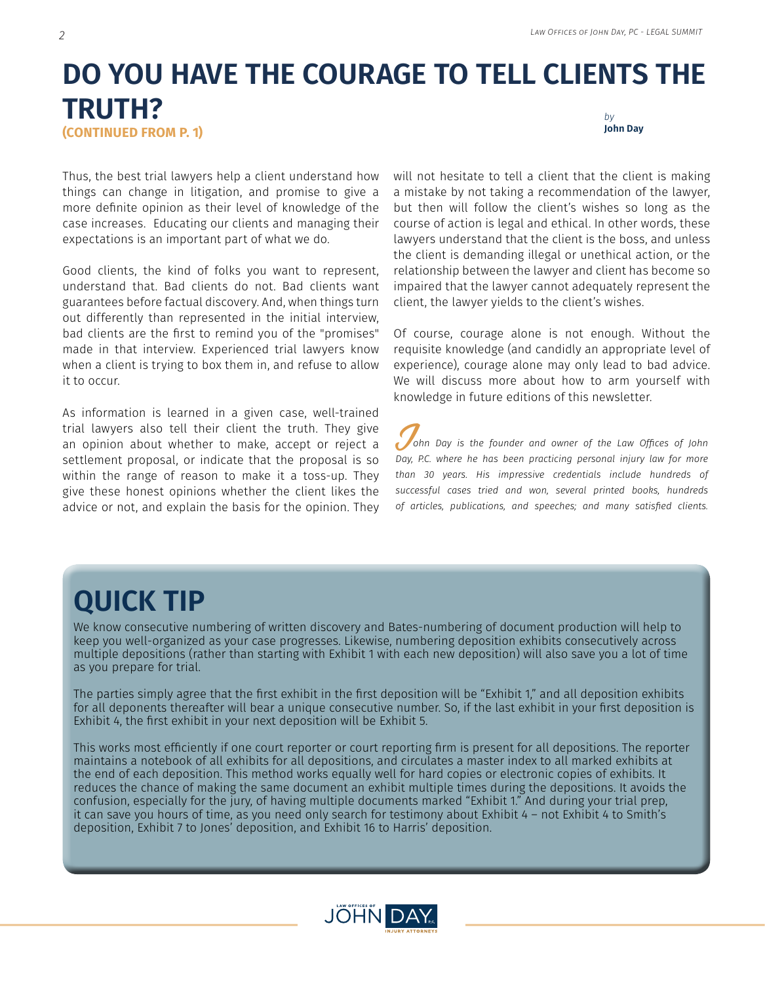### **DO YOU HAVE THE COURAGE TO TELL CLIENTS THE TRUTH? (CONTINUED FROM P. 1)** *by* **John Day**

Thus, the best trial lawyers help a client understand how things can change in litigation, and promise to give a more definite opinion as their level of knowledge of the case increases. Educating our clients and managing their expectations is an important part of what we do.

Good clients, the kind of folks you want to represent, understand that. Bad clients do not. Bad clients want guarantees before factual discovery. And, when things turn out differently than represented in the initial interview, bad clients are the first to remind you of the "promises" made in that interview. Experienced trial lawyers know when a client is trying to box them in, and refuse to allow it to occur.

As information is learned in a given case, well-trained trial lawyers also tell their client the truth. They give an opinion about whether to make, accept or reject a settlement proposal, or indicate that the proposal is so within the range of reason to make it a toss-up. They give these honest opinions whether the client likes the advice or not, and explain the basis for the opinion. They will not hesitate to tell a client that the client is making a mistake by not taking a recommendation of the lawyer, but then will follow the client's wishes so long as the course of action is legal and ethical. In other words, these lawyers understand that the client is the boss, and unless the client is demanding illegal or unethical action, or the relationship between the lawyer and client has become so impaired that the lawyer cannot adequately represent the client, the lawyer yields to the client's wishes.

Of course, courage alone is not enough. Without the requisite knowledge (and candidly an appropriate level of experience), courage alone may only lead to bad advice. We will discuss more about how to arm yourself with knowledge in future editions of this newsletter.

J*ohn Day is the founder and owner of the Law Offices of John Day, P.C. where he has been practicing personal injury law for more than 30 years. His impressive credentials include hundreds of successful cases tried and won, several printed books, hundreds of articles, publications, and speeches; and many satisfied clients.*

### **QUICK TIP**

We know consecutive numbering of written discovery and Bates-numbering of document production will help to keep you well-organized as your case progresses. Likewise, numbering deposition exhibits consecutively across multiple depositions (rather than starting with Exhibit 1 with each new deposition) will also save you a lot of time as you prepare for trial.

The parties simply agree that the first exhibit in the first deposition will be "Exhibit 1," and all deposition exhibits for all deponents thereafter will bear a unique consecutive number. So, if the last exhibit in your first deposition is Exhibit 4, the first exhibit in your next deposition will be Exhibit 5.

This works most efficiently if one court reporter or court reporting firm is present for all depositions. The reporter maintains a notebook of all exhibits for all depositions, and circulates a master index to all marked exhibits at the end of each deposition. This method works equally well for hard copies or electronic copies of exhibits. It reduces the chance of making the same document an exhibit multiple times during the depositions. It avoids the confusion, especially for the jury, of having multiple documents marked "Exhibit 1." And during your trial prep, it can save you hours of time, as you need only search for testimony about Exhibit 4 – not Exhibit 4 to Smith's deposition, Exhibit 7 to Jones' deposition, and Exhibit 16 to Harris' deposition.

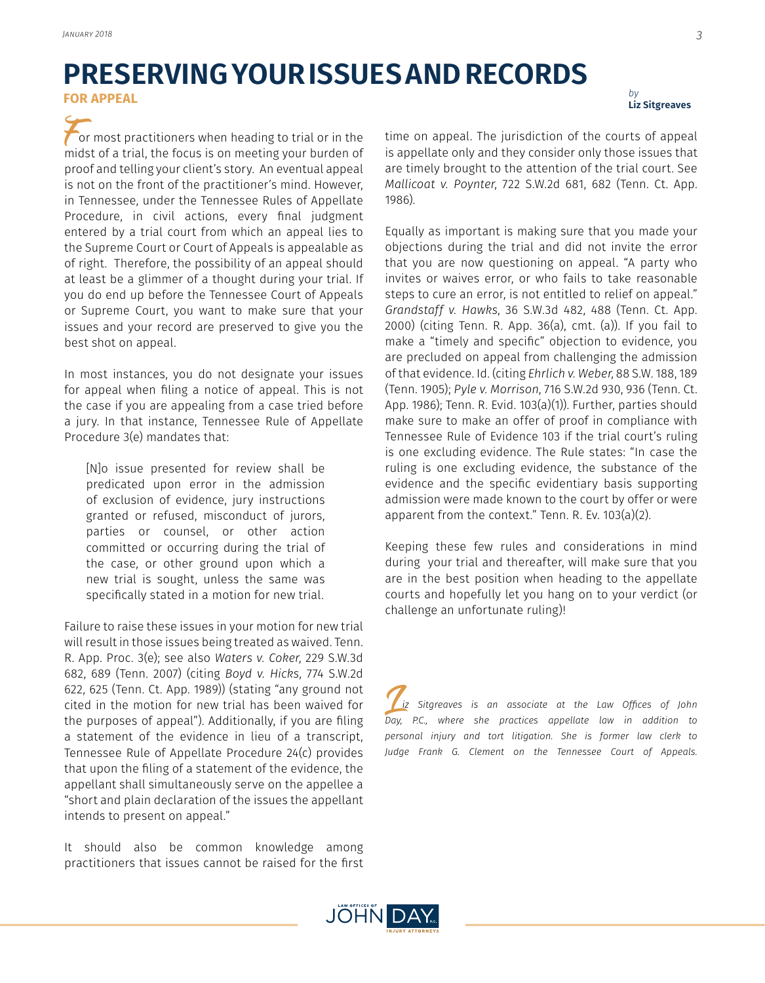# **PRESERVING YOUR ISSUES AND RECORDS**

**FOR APPEAL**

or most practitioners when heading to trial or in the midst of a trial, the focus is on meeting your burden of proof and telling your client's story. An eventual appeal is not on the front of the practitioner's mind. However, in Tennessee, under the Tennessee Rules of Appellate Procedure, in civil actions, every final judgment entered by a trial court from which an appeal lies to the Supreme Court or Court of Appeals is appealable as of right. Therefore, the possibility of an appeal should at least be a glimmer of a thought during your trial. If you do end up before the Tennessee Court of Appeals or Supreme Court, you want to make sure that your issues and your record are preserved to give you the best shot on appeal.

In most instances, you do not designate your issues for appeal when filing a notice of appeal. This is not the case if you are appealing from a case tried before a jury. In that instance, Tennessee Rule of Appellate Procedure 3(e) mandates that:

[N]o issue presented for review shall be predicated upon error in the admission of exclusion of evidence, jury instructions granted or refused, misconduct of jurors, parties or counsel, or other action committed or occurring during the trial of the case, or other ground upon which a new trial is sought, unless the same was specifically stated in a motion for new trial.

Failure to raise these issues in your motion for new trial will result in those issues being treated as waived. Tenn. R. App. Proc. 3(e); see also *Waters v. Coker*, 229 S.W.3d 682, 689 (Tenn. 2007) (citing *Boyd v. Hicks*, 774 S.W.2d 622, 625 (Tenn. Ct. App. 1989)) (stating "any ground not cited in the motion for new trial has been waived for the purposes of appeal"). Additionally, if you are filing a statement of the evidence in lieu of a transcript, Tennessee Rule of Appellate Procedure 24(c) provides that upon the filing of a statement of the evidence, the appellant shall simultaneously serve on the appellee a "short and plain declaration of the issues the appellant intends to present on appeal."

It should also be common knowledge among practitioners that issues cannot be raised for the first

*by* **Liz Sitgreaves**

time on appeal. The jurisdiction of the courts of appeal is appellate only and they consider only those issues that are timely brought to the attention of the trial court. See *Mallicoat v. Poynter*, 722 S.W.2d 681, 682 (Tenn. Ct. App. 1986).

Equally as important is making sure that you made your objections during the trial and did not invite the error that you are now questioning on appeal. "A party who invites or waives error, or who fails to take reasonable steps to cure an error, is not entitled to relief on appeal." *Grandstaff v. Hawks*, 36 S.W.3d 482, 488 (Tenn. Ct. App. 2000) (citing Tenn. R. App. 36(a), cmt. (a)). If you fail to make a "timely and specific" objection to evidence, you are precluded on appeal from challenging the admission of that evidence. Id. (citing *Ehrlich v. Weber*, 88 S.W. 188, 189 (Tenn. 1905); *Pyle v. Morrison*, 716 S.W.2d 930, 936 (Tenn. Ct. App. 1986); Tenn. R. Evid. 103(a)(1)). Further, parties should make sure to make an offer of proof in compliance with Tennessee Rule of Evidence 103 if the trial court's ruling is one excluding evidence. The Rule states: "In case the ruling is one excluding evidence, the substance of the evidence and the specific evidentiary basis supporting admission were made known to the court by offer or were apparent from the context." Tenn. R. Ev. 103(a)(2).

Keeping these few rules and considerations in mind during your trial and thereafter, will make sure that you are in the best position when heading to the appellate courts and hopefully let you hang on to your verdict (or challenge an unfortunate ruling)!

L*iz Sitgreaves is an associate at the Law Offices of John Day, P.C., where she practices appellate law in addition to personal injury and tort litigation. She is former law clerk to Judge Frank G. Clement on the Tennessee Court of Appeals.*